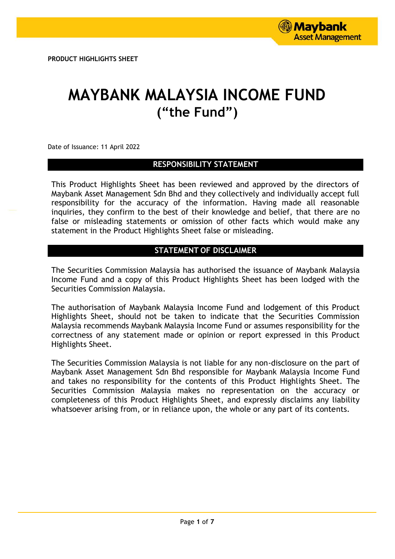# **MAYBANK MALAYSIA INCOME FUND ("the Fund")**

Date of Issuance: 11 April 2022

## **RESPONSIBILITY STATEMENT**

This Product Highlights Sheet has been reviewed and approved by the directors of Maybank Asset Management Sdn Bhd and they collectively and individually accept full responsibility for the accuracy of the information. Having made all reasonable inquiries, they confirm to the best of their knowledge and belief, that there are no false or misleading statements or omission of other facts which would make any statement in the Product Highlights Sheet false or misleading.

# **STATEMENT OF DISCLAIMER**

The Securities Commission Malaysia has authorised the issuance of Maybank Malaysia Income Fund and a copy of this Product Highlights Sheet has been lodged with the Securities Commission Malaysia.

The authorisation of Maybank Malaysia Income Fund and lodgement of this Product Highlights Sheet, should not be taken to indicate that the Securities Commission Malaysia recommends Maybank Malaysia Income Fund or assumes responsibility for the correctness of any statement made or opinion or report expressed in this Product Highlights Sheet.

The Securities Commission Malaysia is not liable for any non-disclosure on the part of Maybank Asset Management Sdn Bhd responsible for Maybank Malaysia Income Fund and takes no responsibility for the contents of this Product Highlights Sheet. The Securities Commission Malaysia makes no representation on the accuracy or completeness of this Product Highlights Sheet, and expressly disclaims any liability whatsoever arising from, or in reliance upon, the whole or any part of its contents.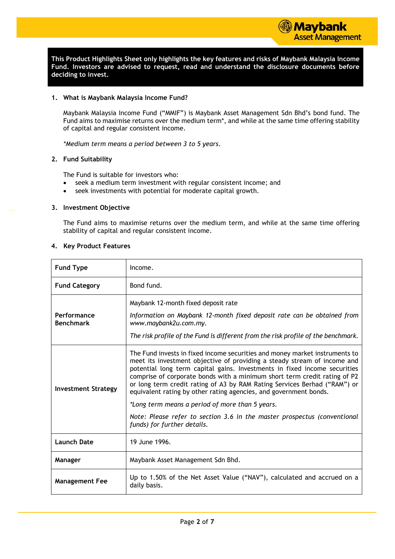**This Product Highlights Sheet only highlights the key features and risks of Maybank Malaysia Income Fund. Investors are advised to request, read and understand the disclosure documents before deciding to invest.**

#### **1. What is Maybank Malaysia Income Fund?**

Maybank Malaysia Income Fund ("MMIF") is Maybank Asset Management Sdn Bhd's bond fund. The Fund aims to maximise returns over the medium term\*, and while at the same time offering stability of capital and regular consistent income.

*\*Medium term means a period between 3 to 5 years.*

#### **2. Fund Suitability**

The Fund is suitable for investors who:

- seek a medium term investment with regular consistent income; and
- seek investments with potential for moderate capital growth.

#### **3. Investment Objective**

The Fund aims to maximise returns over the medium term, and while at the same time offering stability of capital and regular consistent income.

#### **4. Key Product Features**

| <b>Fund Type</b>                | Income.                                                                                                                                                                                                                                                                                                                                                                                                                                                             |
|---------------------------------|---------------------------------------------------------------------------------------------------------------------------------------------------------------------------------------------------------------------------------------------------------------------------------------------------------------------------------------------------------------------------------------------------------------------------------------------------------------------|
| <b>Fund Category</b>            | Bond fund.                                                                                                                                                                                                                                                                                                                                                                                                                                                          |
| Performance<br><b>Benchmark</b> | Maybank 12-month fixed deposit rate<br>Information on Maybank 12-month fixed deposit rate can be obtained from<br>www.maybank2u.com.my.<br>The risk profile of the Fund is different from the risk profile of the benchmark.                                                                                                                                                                                                                                        |
| <b>Investment Strategy</b>      | The Fund invests in fixed income securities and money market instruments to<br>meet its investment objective of providing a steady stream of income and<br>potential long term capital gains. Investments in fixed income securities<br>comprise of corporate bonds with a minimum short term credit rating of P2<br>or long term credit rating of A3 by RAM Rating Services Berhad ("RAM") or<br>equivalent rating by other rating agencies, and government bonds. |
|                                 | *Long term means a period of more than 5 years.<br>Note: Please refer to section 3.6 in the master prospectus (conventional<br>funds) for further details.                                                                                                                                                                                                                                                                                                          |
| <b>Launch Date</b>              | 19 June 1996.                                                                                                                                                                                                                                                                                                                                                                                                                                                       |
| Manager                         | Maybank Asset Management Sdn Bhd.                                                                                                                                                                                                                                                                                                                                                                                                                                   |
| <b>Management Fee</b>           | Up to 1.50% of the Net Asset Value ("NAV"), calculated and accrued on a<br>daily basis.                                                                                                                                                                                                                                                                                                                                                                             |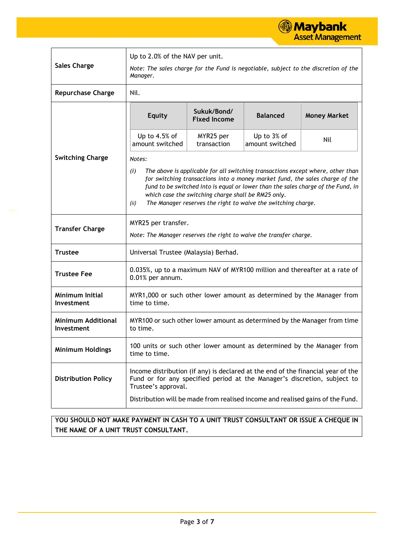

| <b>Sales Charge</b>                     | Up to 2.0% of the NAV per unit.<br>Note: The sales charge for the Fund is negotiable, subject to the discretion of the<br>Manager.                                                                                                                                                                                                                                                                   |                                    |                                |                                                                                |  |
|-----------------------------------------|------------------------------------------------------------------------------------------------------------------------------------------------------------------------------------------------------------------------------------------------------------------------------------------------------------------------------------------------------------------------------------------------------|------------------------------------|--------------------------------|--------------------------------------------------------------------------------|--|
| <b>Repurchase Charge</b>                | Nil.                                                                                                                                                                                                                                                                                                                                                                                                 |                                    |                                |                                                                                |  |
|                                         | <b>Equity</b>                                                                                                                                                                                                                                                                                                                                                                                        | Sukuk/Bond/<br><b>Fixed Income</b> | <b>Balanced</b>                | <b>Money Market</b>                                                            |  |
|                                         | Up to $4.5%$ of<br>amount switched                                                                                                                                                                                                                                                                                                                                                                   | MYR25 per<br>transaction           | Up to 3% of<br>amount switched | Nil                                                                            |  |
| <b>Switching Charge</b>                 | Notes:<br>The above is applicable for all switching transactions except where, other than<br>(i)<br>for switching transactions into a money market fund, the sales charge of the<br>fund to be switched into is equal or lower than the sales charge of the Fund, in<br>which case the switching charge shall be RM25 only.<br>The Manager reserves the right to waive the switching charge.<br>(ii) |                                    |                                |                                                                                |  |
| <b>Transfer Charge</b>                  | MYR25 per transfer.<br>Note: The Manager reserves the right to waive the transfer charge.                                                                                                                                                                                                                                                                                                            |                                    |                                |                                                                                |  |
| <b>Trustee</b>                          | Universal Trustee (Malaysia) Berhad.                                                                                                                                                                                                                                                                                                                                                                 |                                    |                                |                                                                                |  |
| <b>Trustee Fee</b>                      | 0.035%, up to a maximum NAV of MYR100 million and thereafter at a rate of<br>0.01% per annum.                                                                                                                                                                                                                                                                                                        |                                    |                                |                                                                                |  |
| <b>Minimum Initial</b><br>Investment    | MYR1,000 or such other lower amount as determined by the Manager from<br>time to time.                                                                                                                                                                                                                                                                                                               |                                    |                                |                                                                                |  |
| <b>Minimum Additional</b><br>Investment | MYR100 or such other lower amount as determined by the Manager from time<br>to time.                                                                                                                                                                                                                                                                                                                 |                                    |                                |                                                                                |  |
| <b>Minimum Holdings</b>                 | 100 units or such other lower amount as determined by the Manager from<br>time to time.                                                                                                                                                                                                                                                                                                              |                                    |                                |                                                                                |  |
| <b>Distribution Policy</b>              | Income distribution (if any) is declared at the end of the financial year of the<br>Fund or for any specified period at the Manager's discretion, subject to<br>Trustee's approval.                                                                                                                                                                                                                  |                                    |                                |                                                                                |  |
|                                         |                                                                                                                                                                                                                                                                                                                                                                                                      |                                    |                                | Distribution will be made from realised income and realised gains of the Fund. |  |

**YOU SHOULD NOT MAKE PAYMENT IN CASH TO A UNIT TRUST CONSULTANT OR ISSUE A CHEQUE IN THE NAME OF A UNIT TRUST CONSULTANT.**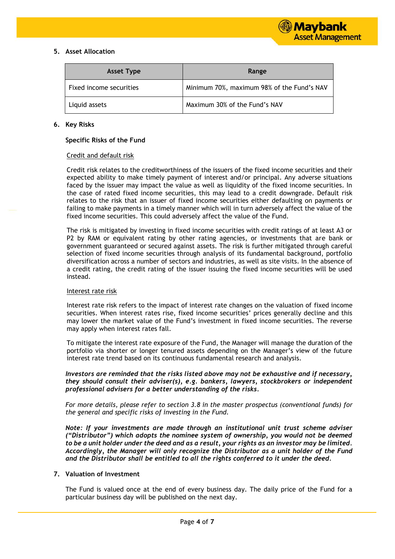## **5. Asset Allocation**

| <b>Asset Type</b>       | Range                                      |
|-------------------------|--------------------------------------------|
| Fixed income securities | Minimum 70%, maximum 98% of the Fund's NAV |
| Liquid assets           | Maximum 30% of the Fund's NAV              |

#### **6. Key Risks**

#### **Specific Risks of the Fund**

#### Credit and default risk

Credit risk relates to the creditworthiness of the issuers of the fixed income securities and their expected ability to make timely payment of interest and/or principal. Any adverse situations faced by the issuer may impact the value as well as liquidity of the fixed income securities. In the case of rated fixed income securities, this may lead to a credit downgrade. Default risk relates to the risk that an issuer of fixed income securities either defaulting on payments or failing to make payments in a timely manner which will in turn adversely affect the value of the fixed income securities. This could adversely affect the value of the Fund.

The risk is mitigated by investing in fixed income securities with credit ratings of at least A3 or P2 by RAM or equivalent rating by other rating agencies, or investments that are bank or government guaranteed or secured against assets. The risk is further mitigated through careful selection of fixed income securities through analysis of its fundamental background, portfolio diversification across a number of sectors and industries, as well as site visits. In the absence of a credit rating, the credit rating of the issuer issuing the fixed income securities will be used instead.

#### Interest rate risk

Interest rate risk refers to the impact of interest rate changes on the valuation of fixed income securities. When interest rates rise, fixed income securities' prices generally decline and this may lower the market value of the Fund's investment in fixed income securities. The reverse may apply when interest rates fall.

To mitigate the interest rate exposure of the Fund, the Manager will manage the duration of the portfolio via shorter or longer tenured assets depending on the Manager's view of the future interest rate trend based on its continuous fundamental research and analysis.

*Investors are reminded that the risks listed above may not be exhaustive and if necessary, they should consult their adviser(s), e.g. bankers, lawyers, stockbrokers or independent professional advisers for a better understanding of the risks.*

*For more details, please refer to section 3.8 in the master prospectus (conventional funds) for the general and specific risks of investing in the Fund.*

*Note: If your investments are made through an institutional unit trust scheme adviser ("Distributor") which adopts the nominee system of ownership, you would not be deemed to be a unit holder under the deed and as a result, your rights as an investor may be limited. Accordingly, the Manager will only recognize the Distributor as a unit holder of the Fund and the Distributor shall be entitled to all the rights conferred to it under the deed.*

#### **7. Valuation of Investment**

The Fund is valued once at the end of every business day. The daily price of the Fund for a particular business day will be published on the next day.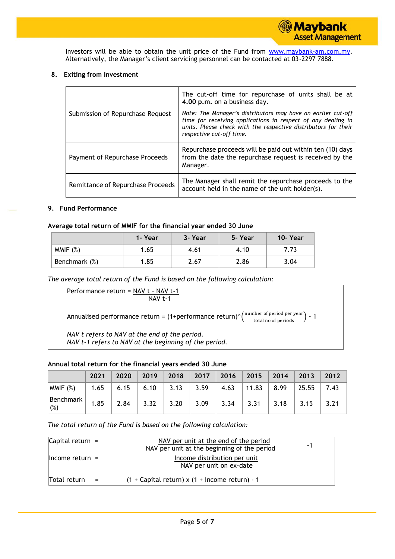Investors will be able to obtain the unit price of the Fund from [www.maybank-am.com.](http://www.maybank-am.com/)my. Alternatively, the Manager's client servicing personnel can be contacted at 03-2297 7888.

## **8. Exiting from Investment**

|                                   | The cut-off time for repurchase of units shall be at<br>4.00 p.m. on a business day.                                                                                                                                       |
|-----------------------------------|----------------------------------------------------------------------------------------------------------------------------------------------------------------------------------------------------------------------------|
| Submission of Repurchase Request  | Note: The Manager's distributors may have an earlier cut-off<br>time for receiving applications in respect of any dealing in<br>units. Please check with the respective distributors for their<br>respective cut-off time. |
| Payment of Repurchase Proceeds    | Repurchase proceeds will be paid out within ten (10) days<br>from the date the repurchase request is received by the<br>Manager.                                                                                           |
| Remittance of Repurchase Proceeds | The Manager shall remit the repurchase proceeds to the<br>account held in the name of the unit holder(s).                                                                                                                  |

## **9. Fund Performance**

## **Average total return of MMIF for the financial year ended 30 June**

|               | 1- Year | 3- Year | 5- Year | 10-Year |
|---------------|---------|---------|---------|---------|
| MMIF $(\%)$   | 1.65    | 4.61    | 4.10    | 7.73    |
| Benchmark (%) | 1.85    | 2.67    | 2.86    | 3.04    |

*The average total return of the Fund is based on the following calculation:*

Performance return = NAV t - NAV t-1 NAV t-1 Annualised performance return = (1+performance return)^ $\left(\frac{\text{number of period per year}}{\text{total no.of periods}}\right)$  - 1 *NAV t refers to NAV at the end of the period. NAV t-1 refers to NAV at the beginning of the period.*

## **Annual total return for the financial years ended 30 June**

|                                                                                                                                                                                                                                                                                                                                                                                          | 2021 | 2020 |                                   |  | $\vert$ 2019 2018 2017 2016 2015 2014 2013                       |                      | 2012 |
|------------------------------------------------------------------------------------------------------------------------------------------------------------------------------------------------------------------------------------------------------------------------------------------------------------------------------------------------------------------------------------------|------|------|-----------------------------------|--|------------------------------------------------------------------|----------------------|------|
| MMIF(%)                                                                                                                                                                                                                                                                                                                                                                                  |      |      |                                   |  | $1.65$   6.15   6.10   3.13   3.59   4.63   11.83   8.99   25.55 |                      | 7.43 |
| $\begin{array}{ l l } \hline \text{Benchmark} \ (\%) \hline \end{array} \begin{array}{ l } \hline \end{array} \begin{array}{ l } \hline \end{array} \begin{array}{ l } \hline \end{array} \begin{array}{ l } \hline \end{array} \begin{array}{ l } \hline \end{array} \begin{array}{ l } \hline \end{array} \begin{array}{ l } \hline \end{array} \begin{array}{ l } \hline \end{array}$ |      | 2.84 | $3.32$   $3.20$   $3.09$   $3.34$ |  |                                                                  | $3.31$   3.18   3.15 |      |

*The total return of the Fund is based on the following calculation:*

| Capital return $=$ |     | NAV per unit at the end of the period<br>NAV per unit at the beginning of the period | -1 |
|--------------------|-----|--------------------------------------------------------------------------------------|----|
| $l$ hcome return = |     | Income distribution per unit<br>NAV per unit on ex-date                              |    |
| Total return       | $=$ | $(1 +$ Capital return) x $(1 +$ Income return) - 1                                   |    |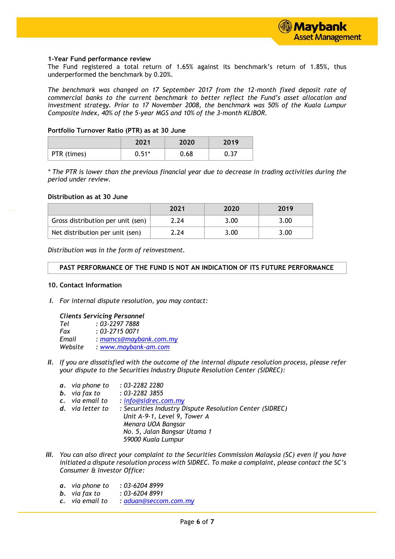

#### **1-Year Fund performance review**

The Fund registered a total return of 1.65% against its benchmark's return of 1.85%, thus underperformed the benchmark by 0.20%.

*The benchmark was changed on 17 September 2017 from the 12-month fixed deposit rate of commercial banks to the current benchmark to better reflect the Fund's asset allocation and investment strategy. Prior to 17 November 2008, the benchmark was 50% of the Kuala Lumpur Composite Index, 40% of the 5-year MGS and 10% of the 3-month KLIBOR.*

#### **Portfolio Turnover Ratio (PTR) as at 30 June**

|             | 2021    | 2020 | 2019 |
|-------------|---------|------|------|
| PTR (times) | $0.51*$ | 0.68 | 0.37 |

*\* The PTR is lower than the previous financial year due to decrease in trading activities during the period under review.*

#### **Distribution as at 30 June**

|                                   | 2021 | 2020 | 2019 |
|-----------------------------------|------|------|------|
| Gross distribution per unit (sen) | 2.24 | 3.00 | 3.00 |
| Net distribution per unit (sen)   | 2.24 | 3.00 | 3.00 |

*Distribution was in the form of reinvestment.*

## **PAST PERFORMANCE OF THE FUND IS NOT AN INDICATION OF ITS FUTURE PERFORMANCE**

#### **10. Contact Information**

*I. For internal dispute resolution, you may contact:*

#### *Clients Servicing Personnel*

| Tel     | $: 03 - 22977888$         |
|---------|---------------------------|
| Fax     | $: 03 - 27150071$         |
| Email   | : $m$ amcs@maybank.com.my |
| Website | : www.maybank-am.com      |

- *II. If you are dissatisfied with the outcome of the internal dispute resolution process, please refer your dispute to the Securities Industry Dispute Resolution Center (SIDREC):*
	- *a. via phone to : 03-2282 2280*
	- *b. via fax to : 03-2282 3855*
	-
	- *c. via email to : [info@sidrec.com.my](mailto:info@sidrec.com.my) d. via letter to : Securities Industry Dispute Resolution Center (SIDREC) Unit A-9-1, Level 9, Tower A Menara UOA Bangsar No. 5, Jalan Bangsar Utama 1 59000 Kuala Lumpur*
- *III. You can also direct your complaint to the Securities Commission Malaysia (SC) even if you have initiated a dispute resolution process with SIDREC. To make a complaint, please contact the SC's Consumer & Investor Office:*
	- *a. via phone to : 03-6204 8999*
	- *b. via fax to : 03-6204 8991*
	- *c. via email to : [aduan@seccom.com.my](mailto:aduan@seccom.com.my)*